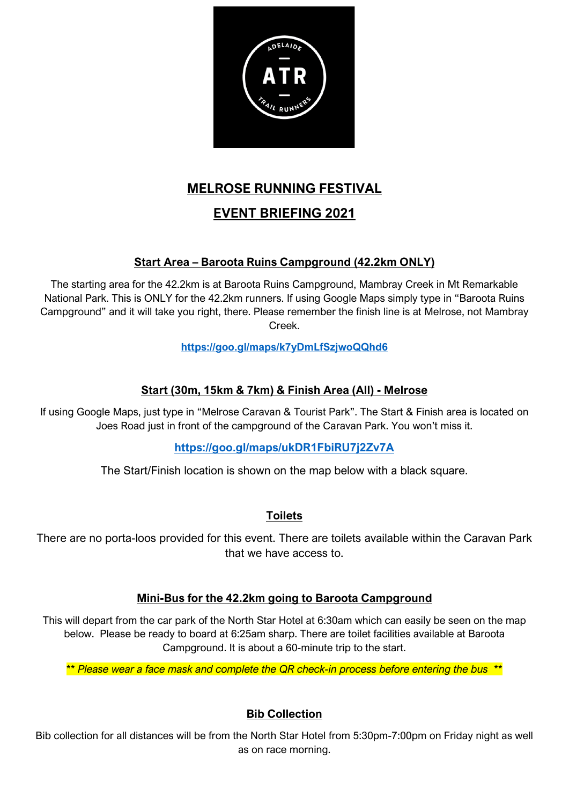

# **MELROSE RUNNING FESTIVAL**

# **EVENT BRIEFING 2021**

# **Start Area – Baroota Ruins Campground (42.2km ONLY)**

The starting area for the 42.2km is at Baroota Ruins Campground, Mambray Creek in Mt Remarkable National Park. This is ONLY for the 42.2km runners. If using Google Maps simply type in "Baroota Ruins Campground" and it will take you right, there. Please remember the finish line is at Melrose, not Mambray Creek.

# **<https://goo.gl/maps/k7yDmLfSzjwoQQhd6>**

# **Start (30m, 15km & 7km) & Finish Area (All) - Melrose**

If using Google Maps, just type in "Melrose Caravan & Tourist Park". The Start & Finish area is located on Joes Road just in front of the campground of the Caravan Park. You won't miss it.

# **<https://goo.gl/maps/ukDR1FbiRU7j2Zv7A>**

The Start/Finish location is shown on the map below with a black square.

# **Toilets**

There are no porta-loos provided for this event. There are toilets available within the Caravan Park that we have access to.

# **Mini-Bus for the 42.2km going to Baroota Campground**

This will depart from the car park of the North Star Hotel at 6:30am which can easily be seen on the map below. Please be ready to board at 6:25am sharp. There are toilet facilities available at Baroota Campground. It is about a 60-minute trip to the start.

*\*\* Please wear a face mask and complete the QR check-in process before entering the bus \*\**

# **Bib Collection**

Bib collection for all distances will be from the North Star Hotel from 5:30pm-7:00pm on Friday night as well as on race morning.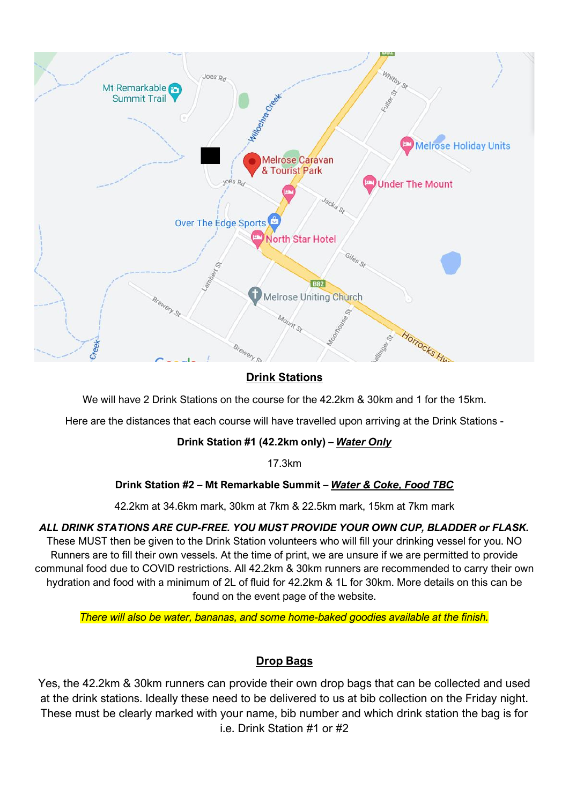

# **Drink Stations**

We will have 2 Drink Stations on the course for the 42.2km & 30km and 1 for the 15km.

Here are the distances that each course will have travelled upon arriving at the Drink Stations -

#### **Drink Station #1 (42.2km only) –** *Water Only*

17.3km

#### **Drink Station #2 – Mt Remarkable Summit –** *Water & Coke, Food TBC*

42.2km at 34.6km mark, 30km at 7km & 22.5km mark, 15km at 7km mark

# *ALL DRINK STATIONS ARE CUP-FREE. YOU MUST PROVIDE YOUR OWN CUP, BLADDER or FLASK.*

These MUST then be given to the Drink Station volunteers who will fill your drinking vessel for you. NO Runners are to fill their own vessels. At the time of print, we are unsure if we are permitted to provide communal food due to COVID restrictions. All 42.2km & 30km runners are recommended to carry their own hydration and food with a minimum of 2L of fluid for 42.2km & 1L for 30km. More details on this can be found on the event page of the website.

#### *There will also be water, bananas, and some home-baked goodies available at the finish.*

# **Drop Bags**

Yes, the 42.2km & 30km runners can provide their own drop bags that can be collected and used at the drink stations. Ideally these need to be delivered to us at bib collection on the Friday night. These must be clearly marked with your name, bib number and which drink station the bag is for i.e. Drink Station #1 or #2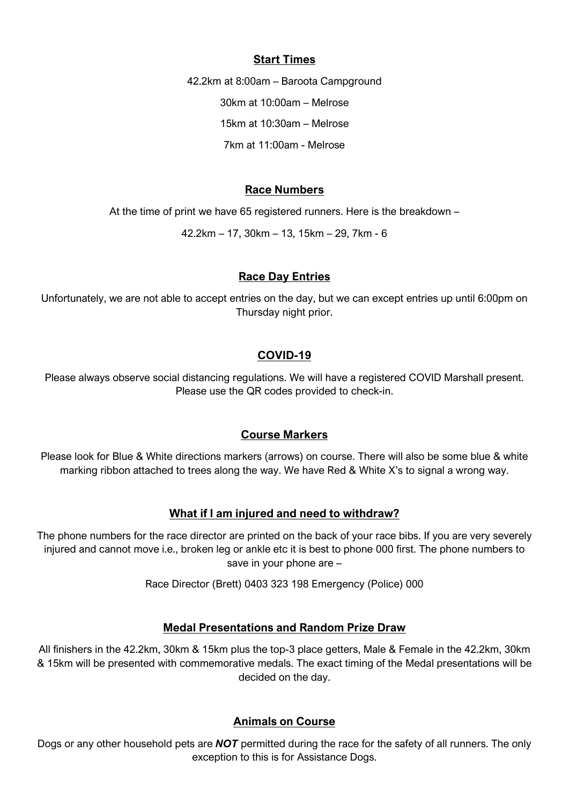#### **Start Times**

42.2km at 8:00am – Baroota Campground 30km at 10:00am – Melrose 15km at 10:30am – Melrose 7km at 11:00am - Melrose

#### **Race Numbers**

At the time of print we have 65 registered runners. Here is the breakdown –

42.2km – 17, 30km – 13, 15km – 29, 7km - 6

#### **Race Day Entries**

Unfortunately, we are not able to accept entries on the day, but we can except entries up until 6:00pm on Thursday night prior.

#### **COVID-19**

Please always observe social distancing regulations. We will have a registered COVID Marshall present. Please use the QR codes provided to check-in.

#### **Course Markers**

Please look for Blue & White directions markers (arrows) on course. There will also be some blue & white marking ribbon attached to trees along the way. We have Red & White X's to signal a wrong way.

#### **What if I am injured and need to withdraw?**

The phone numbers for the race director are printed on the back of your race bibs. If you are very severely injured and cannot move i.e., broken leg or ankle etc it is best to phone 000 first. The phone numbers to save in your phone are –

Race Director (Brett) 0403 323 198 Emergency (Police) 000

#### **Medal Presentations and Random Prize Draw**

All finishers in the 42.2km, 30km & 15km plus the top-3 place getters, Male & Female in the 42.2km, 30km & 15km will be presented with commemorative medals. The exact timing of the Medal presentations will be decided on the day.

#### **Animals on Course**

Dogs or any other household pets are *NOT* permitted during the race for the safety of all runners. The only exception to this is for Assistance Dogs.